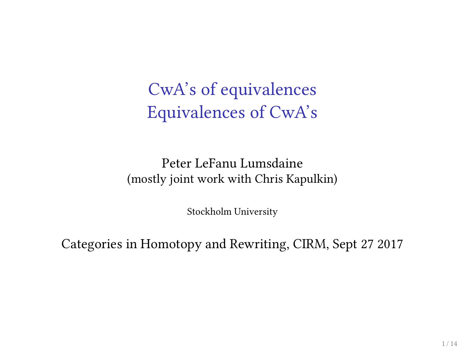CwA's of equivalences Equivalences of CwA's

Peter LeFanu Lumsdaine (mostly joint work with Chris Kapulkin)

Stockholm University

Categories in Homotopy and Rewriting, CIRM, Sept 27 2017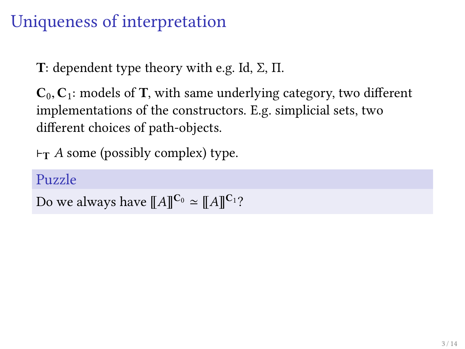### Uniqueness of interpretation

T: dependent type theory with e.g. Id,  $\Sigma$ ,  $\Pi$ .

 $C_0, C_1$ : models of T, with same underlying category, two different implementations of the constructors. E.g. simplicial sets, two different choices of path-objects.

 $\vdash$ T A some (possibly complex) type.

### Puzzle

```
Do we always have [[A]]^{C_0} \simeq [[A]]^{C_1}?
```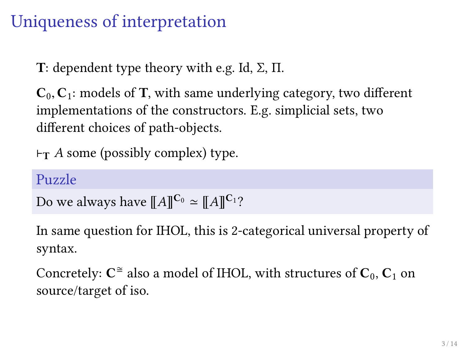### Uniqueness of interpretation

T: dependent type theory with e.g. Id,  $\Sigma$ ,  $\Pi$ .

 $C_0, C_1$ : models of T, with same underlying category, two different implementations of the constructors. E.g. simplicial sets, two different choices of path-objects.

 $\vdash_{T} A$  some (possibly complex) type.

#### Puzzle

```
Do we always have \llbracket A \rrbracket^{\mathbf{C}_0} \simeq \llbracket A \rrbracket^{\mathbf{C}_1}?
```
In same question for IHOL, this is 2-categorical universal property of syntax.

Concretely:  $\textbf{C}^{\cong}$  also a model of IHOL, with structures of  $\textbf{C}_{0},$   $\textbf{C}_{1}$  on source/target of iso.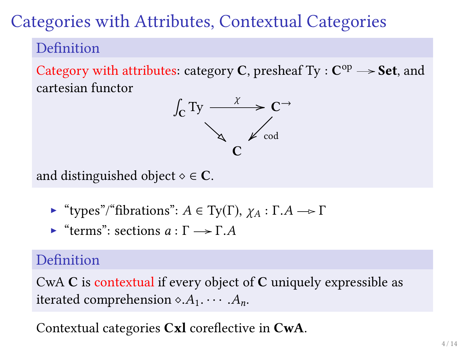### Categories with Attributes, Contextual Categories

### Definition

Category with attributes: category C, presheaf  $Ty : C^{op} \longrightarrow$  Set, and cartesian functor



and distinguished object  $\diamond \in \mathbb{C}$ .

- $\blacktriangleright$  "types"/"fibrations":  $A \in Ty(\Gamma)$ ,  $\gamma_A : \Gamma.A \rightarrow \Gamma$
- $\blacktriangleright$  "terms": sections  $a : \Gamma \longrightarrow \Gamma$ .

#### Definition

CwA C is contextual if every object of C uniquely expressible as iterated comprehension  $\diamond$ . $A_1$ .  $\cdots$  . $A_n$ .

Contextual categories  $Cx$ l coreflective in  $CwA$ .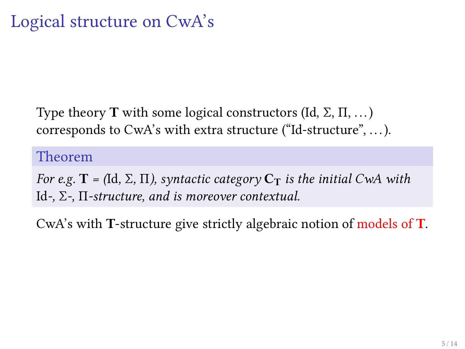Type theory **T** with some logical constructors (Id,  $\Sigma$ ,  $\Pi$ , ...) corresponds to CwA's with extra structure ("Id-structure", . . .).

Theorem

For e.g.  $\mathbf{T} = (\text{Id}, \Sigma, \Pi)$ , syntactic category  $\mathbf{C}_{\mathbf{T}}$  is the initial CwA with Id-,  $\Sigma$ -,  $\Pi$ -structure, and is moreover contextual.

CwA's with T-structure give strictly algebraic notion of models of T.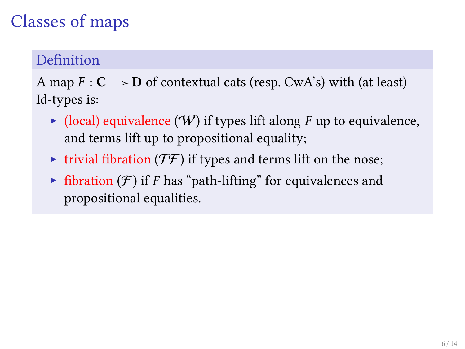# Classes of maps

#### Definition

A map  $F: \mathbb{C} \longrightarrow \mathbb{D}$  of contextual cats (resp. CwA's) with (at least) Id-types is:

- $\triangleright$  (local) equivalence (W) if types lift along F up to equivalence, and terms lift up to propositional equality;
- ighthrow trivial fibration  $(T\mathcal{F})$  if types and terms lift on the nose;
- $\triangleright$  fibration (*F*) if *F* has "path-lifting" for equivalences and propositional equalities.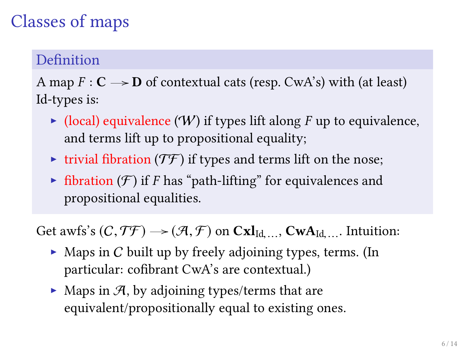# Classes of maps

#### Definition

A map  $F: \mathbb{C} \longrightarrow \mathbb{D}$  of contextual cats (resp. CwA's) with (at least) Id-types is:

- $\triangleright$  (local) equivalence (W) if types lift along F up to equivalence, and terms lift up to propositional equality;
- ighthrow trivial fibration  $(T\mathcal{F})$  if types and terms lift on the nose;
- $\triangleright$  fibration (*F*) if *F* has "path-lifting" for equivalences and propositional equalities.

Get awfs's  $(C, \mathcal{TF}) \rightarrow (\mathcal{A}, \mathcal{F})$  on  $\text{Cxl}_{\text{Id},...}$ ,  $\text{CwA}_{\text{Id},...}$ . Intuition:

- $\triangleright$  Maps in C built up by freely adjoining types, terms. (In particular: cofibrant CwA's are contextual.)
- $\blacktriangleright$  Maps in  $\mathcal{A}$ , by adjoining types/terms that are equivalent/propositionally equal to existing ones.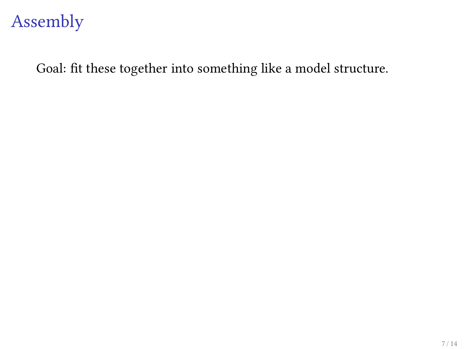### Assembly

Goal: fit these together into something like a model structure.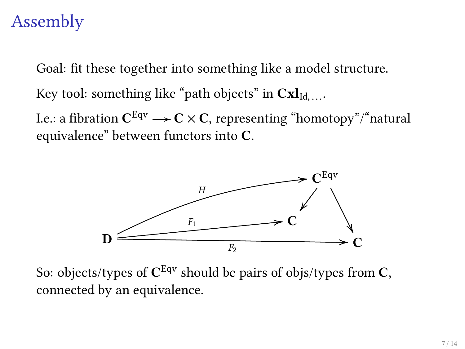## Assembly

Goal: fit these together into something like a model structure.

Key tool: something like "path objects" in  $\mathbf{Cxl}_{\text{Id},...}.$ 

I.e.: a fibration  $\mathbf{C}^\mathrm{Eqv} \longrightarrow \mathbf{C}\times \mathbf{C}$ , representing "homotopy"/"natural equivalence" between functors into C.



So: objects/types of  $\textbf{C}^{\text{Eqv}}$  should be pairs of objs/types from  $\textbf{C},$ connected by an equivalence.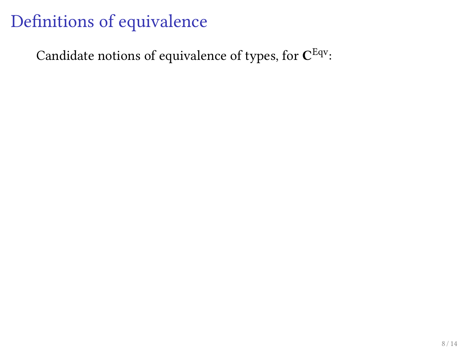Candidate notions of equivalence of types, for  $\mathbf{C}^\mathrm{Eqv}$ :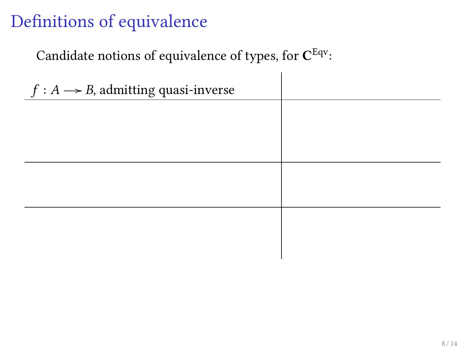Candidate notions of equivalence of types, for  $\mathbf{C}^\mathrm{Eqv}$ :

| $f: A \rightarrow B$ , admitting quasi-inverse |  |
|------------------------------------------------|--|
|                                                |  |
|                                                |  |
|                                                |  |
|                                                |  |
|                                                |  |
|                                                |  |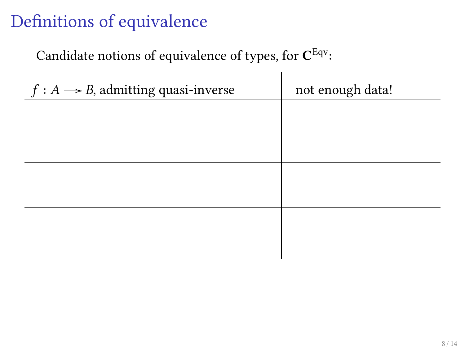### Candidate notions of equivalence of types, for  $\mathbf{C}^\mathrm{Eqv}$ :

| $f: A \rightarrow B$ , admitting quasi-inverse | not enough data! |
|------------------------------------------------|------------------|
|                                                |                  |
|                                                |                  |
|                                                |                  |
|                                                |                  |
|                                                |                  |
|                                                |                  |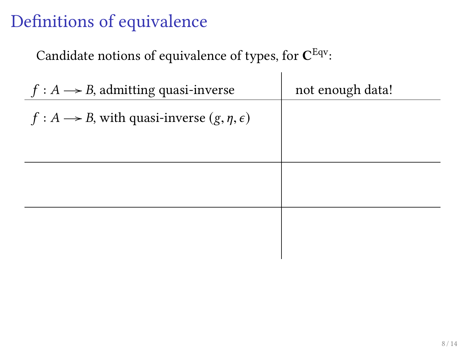Candidate notions of equivalence of types, for  $\mathbf{C}^\mathrm{Eqv}$ :

| $f: A \rightarrow B$ , admitting quasi-inverse                  | not enough data! |
|-----------------------------------------------------------------|------------------|
| $f: A \rightarrow B$ , with quasi-inverse $(g, \eta, \epsilon)$ |                  |
|                                                                 |                  |
|                                                                 |                  |
|                                                                 |                  |
|                                                                 |                  |
|                                                                 |                  |
|                                                                 |                  |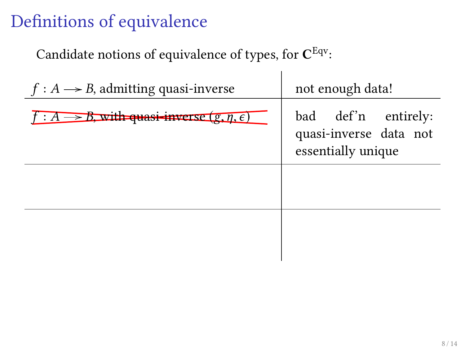Candidate notions of equivalence of types, for  $\mathbf{C}^\mathrm{Eqv}\text{:}$ 

| $f: A \rightarrow B$ , admitting quasi-inverse                  | not enough data!                                                    |
|-----------------------------------------------------------------|---------------------------------------------------------------------|
| $f: A \rightarrow B$ , with quasi-inverse $(g, \eta, \epsilon)$ | bad def'n entirely:<br>quasi-inverse data not<br>essentially unique |
|                                                                 |                                                                     |
|                                                                 |                                                                     |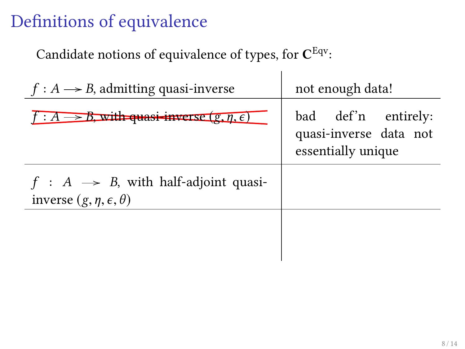Candidate notions of equivalence of types, for  $\mathbf{C}^\mathrm{Eqv}\text{:}$ 

| $f: A \rightarrow B$ , admitting quasi-inverse                                            | not enough data!                                                    |
|-------------------------------------------------------------------------------------------|---------------------------------------------------------------------|
| $f: A \rightarrow B$ , with quasi-inverse $(g, \eta, \epsilon)$                           | bad def'n entirely:<br>quasi-inverse data not<br>essentially unique |
| $f : A \rightarrow B$ , with half-adjoint quasi-<br>inverse $(g, \eta, \epsilon, \theta)$ |                                                                     |
|                                                                                           |                                                                     |

 $\mathbf{I}$ 

 $\overline{\phantom{a}}$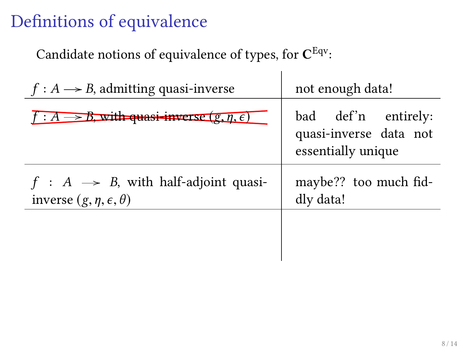Candidate notions of equivalence of types, for  $\mathbf{C}^\mathrm{Eqv}\text{:}$ 

| $f: A \rightarrow B$ , admitting quasi-inverse                                            | not enough data!                                                    |
|-------------------------------------------------------------------------------------------|---------------------------------------------------------------------|
| $f: A \rightarrow B$ , with quasi-inverse $(g, \eta, \epsilon)$                           | bad def'n entirely:<br>quasi-inverse data not<br>essentially unique |
| $f : A \rightarrow B$ , with half-adjoint quasi-<br>inverse $(g, \eta, \epsilon, \theta)$ | maybe?? too much fid-<br>dly data!                                  |
|                                                                                           |                                                                     |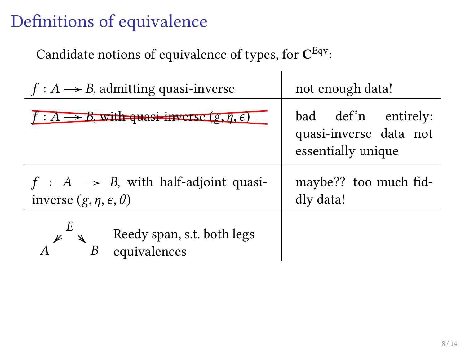Candidate notions of equivalence of types, for  $\mathbf{C}^\mathrm{Eqv}\text{:}$ 

| $f: A \rightarrow B$ , admitting quasi-inverse                                            | not enough data!                                                    |
|-------------------------------------------------------------------------------------------|---------------------------------------------------------------------|
| $f: A \rightarrow B$ , with quasi-inverse $(g, \eta, \epsilon)$                           | bad def'n entirely:<br>quasi-inverse data not<br>essentially unique |
| $f : A \rightarrow B$ , with half-adjoint quasi-<br>inverse $(g, \eta, \epsilon, \theta)$ | maybe?? too much fid-<br>dly data!                                  |
| Reedy span, s.t. both legs<br>equivalences                                                |                                                                     |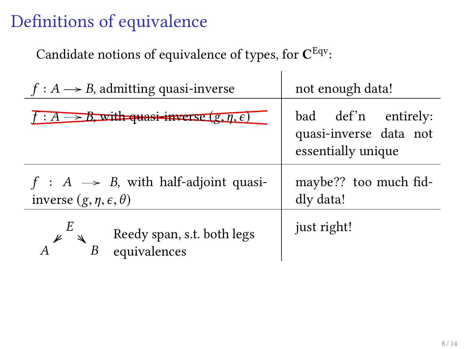Candidate notions of equivalence of types, for  $\mathbf{C}^\mathrm{Eqv}\text{:}$ 

| $f: A \rightarrow B$ , admitting quasi-inverse                                            | not enough data!                                                    |
|-------------------------------------------------------------------------------------------|---------------------------------------------------------------------|
| $f: A \longrightarrow B$ , with quasi-inverse $(g, \eta, \epsilon)$                       | bad def'n entirely:<br>quasi-inverse data not<br>essentially unique |
| $f : A \rightarrow B$ , with half-adjoint quasi-<br>inverse $(g, \eta, \epsilon, \theta)$ | maybe?? too much fid-<br>dly data!                                  |
| Reedy span, s.t. both legs<br>equivalences                                                | just right!                                                         |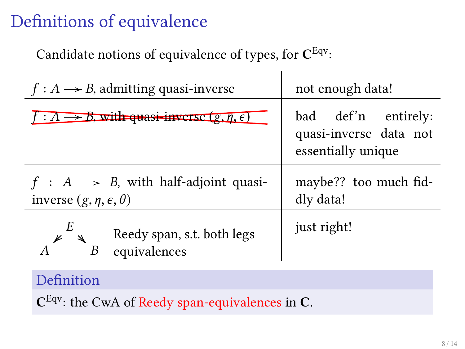Candidate notions of equivalence of types, for  $\mathbf{C}^\mathrm{Eqv}\text{:}$ 

| $f: A \rightarrow B$ , admitting quasi-inverse                                            | not enough data!                                                    |
|-------------------------------------------------------------------------------------------|---------------------------------------------------------------------|
| $f: A \rightarrow B$ , with quasi-inverse $(g, \eta, \epsilon)$                           | bad def'n entirely:<br>quasi-inverse data not<br>essentially unique |
| $f : A \rightarrow B$ , with half-adjoint quasi-<br>inverse $(g, \eta, \epsilon, \theta)$ | maybe?? too much fid-<br>dly data!                                  |
| Reedy span, s.t. both legs<br>equivalences<br>B                                           | just right!                                                         |

 $\mathbf{I}$ 

#### Definition

 $C^{Eqv}$ : the CwA of Reedy span-equivalences in C.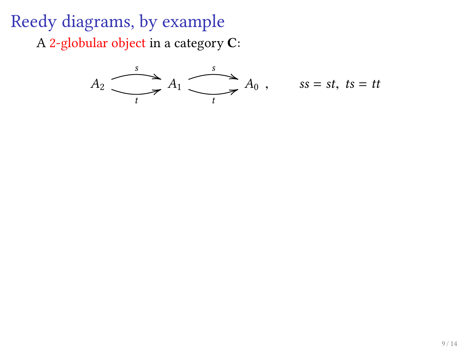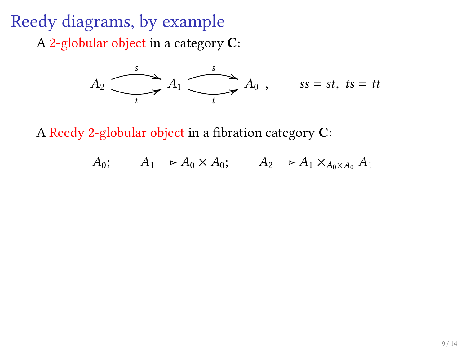

A Reedy 2-globular object in a fibration category  $C$ :

$$
A_0; \qquad A_1 \longrightarrow A_0 \times A_0; \qquad A_2 \longrightarrow A_1 \times_{A_0 \times A_0} A_1
$$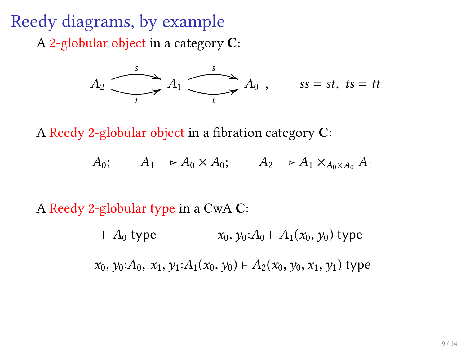

A Reedy 2-globular object in a fibration category  $C$ :

$$
A_0; \qquad A_1 \longrightarrow A_0 \times A_0; \qquad A_2 \longrightarrow A_1 \times_{A_0 \times A_0} A_1
$$

A Reedy 2-globular type in a CwA C:

 $A_0$  type  $x_0, y_0: A_0 \vdash A_1(x_0, y_0)$  type  $x_0$ ,  $y_0$ :  $A_0$ ,  $x_1$ ,  $y_1$ :  $A_1(x_0, y_0)$   $\vdash$   $A_2(x_0, y_0, x_1, y_1)$  type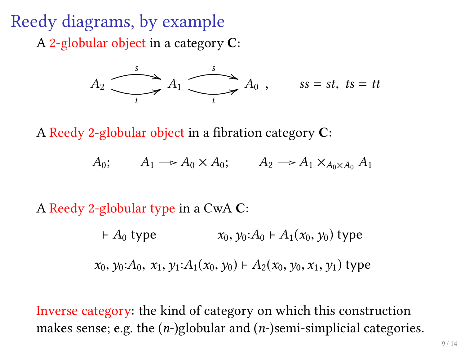

A Reedy 2-globular object in a fibration category  $C$ :

$$
A_0; \qquad A_1 \longrightarrow A_0 \times A_0; \qquad A_2 \longrightarrow A_1 \times_{A_0 \times A_0} A_1
$$

A Reedy 2-globular type in a CwA C:

 $A_0$  type  $x_0, y_0: A_0 \vdash A_1(x_0, y_0)$  type  $x_0$ ,  $y_0: A_0$ ,  $x_1$ ,  $y_1: A_1(x_0, y_0) \vdash A_2(x_0, y_0, x_1, y_1)$  type

Inverse category: the kind of category on which this construction makes sense; e.g. the  $(n-)$ globular and  $(n-)$ semi-simplicial categories.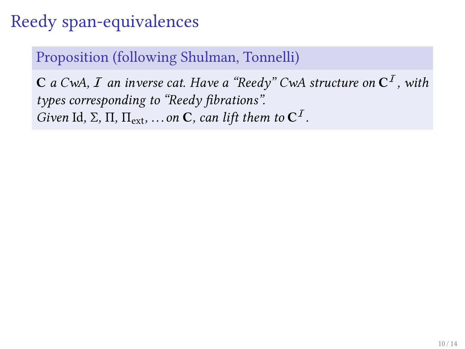## Reedy span-equivalences

Proposition (following Shulman, Tonnelli)

 $\bf C$  a CwA,  $I$  an inverse cat. Have a "Reedy" CwA structure on  $\bf C^I$  , with types corresponding to "Reedy fibrations". Given Id,  $\Sigma$ ,  $\Pi$ ,  $\Pi_{ext}$ , ... on **C**, can lift them to **C**<sup>*I*</sup>.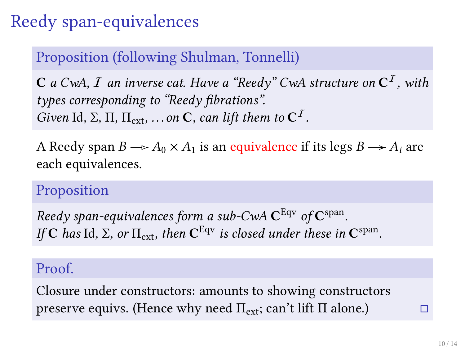# Reedy span-equivalences

### Proposition (following Shulman, Tonnelli)

 $\bf C$  a CwA,  $I$  an inverse cat. Have a "Reedy" CwA structure on  $\bf C^I$  , with types corresponding to "Reedy fibrations". Given Id,  $\Sigma$ ,  $\Pi$ ,  $\Pi_{ext}$ , ... on **C**, can lift them to **C**<sup>*I*</sup>.

A Reedy span  $B \rightarrow A_0 \times A_1$  is an equivalence if its legs  $B \rightarrow A_i$  are each equivalences.

### Proposition

Reedy span-equivalences form a sub-CwA  $\mathbf{C}^\mathrm{Eqv}$  of  $\mathbf{C}^\mathrm{span}.$ If C has Id,  $\Sigma$ , or  $\Pi_{\rm ext}$ , then  $C^{\rm Equ}$  is closed under these in  $C^{\rm span}$ .

#### Proof.

Closure under constructors: amounts to showing constructors preserve equivs. (Hence why need  $\Pi_{\text{ext}}$ ; can't lift  $\Pi$  alone.)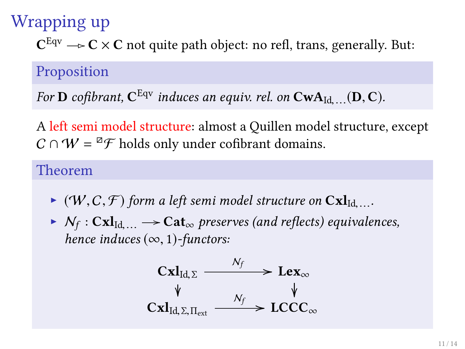# Wrapping up

 ${\bf C}^{\rm Eqv} \longrightarrow {\bf C}\times {\bf C}$  not quite path object: no refl, trans, generally. But:

#### Proposition

For **D** cofibrant,  $C^{Eqv}$  induces an equiv. rel. on  $CwA_{Id,\ldots}(D, C)$ .

A left semi model structure: almost a Quillen model structure, except  $C \cap W = {}^{\boxtimes} \mathcal{F}$  holds only under cofibrant domains.

#### Theorem

- $\bullet$  (W, C, F) form a left semi model structure on  $\text{Cxl}_{\text{Id},...}$ .
- $N_f: \mathbf{C} \mathbf{x} \mathbf{l}_{\mathrm{Id},\ldots} \rightarrow \mathbf{Cat}_{\infty}$  preserves (and reflects) equivalences,<br>have induced (co. 1) functors: hence induces  $(\infty, 1)$ -functors:

$$
\operatorname{Cxl}_{\operatorname{Id},\Sigma} \xrightarrow{\mathcal{N}_f} \operatorname{Lex}_{\infty} \qquad \qquad \downarrow
$$
\n
$$
\operatorname{Cxl}_{\operatorname{Id},\Sigma,\Pi_{\operatorname{ext}}} \xrightarrow{\mathcal{N}_f} \operatorname{LCCC}_{\infty}
$$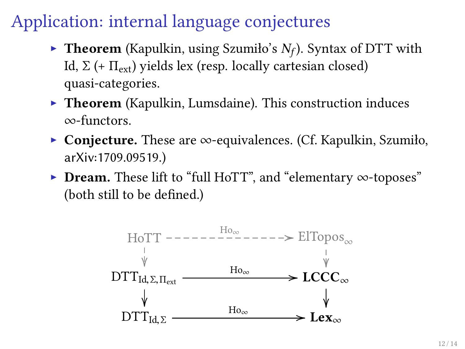### Application: internal language conjectures

- $\blacktriangleright$  Theorem (Kapulkin, using Szumiło's  $N_f$ ). Syntax of DTT with Id,  $\Sigma$  (+  $\Pi_{\text{ext}}$ ) yields lex (resp. locally cartesian closed) quasi-categories.
- $\triangleright$  Theorem (Kapulkin, Lumsdaine). This construction induces ∞-functors.
- <sup>I</sup> Conjecture. These are ∞-equivalences. (Cf. Kapulkin, Szumiło, arXiv:1709.09519.)
- ► Dream. These lift to "full HoTT", and "elementary ∞-toposes" (both still to be defined.)

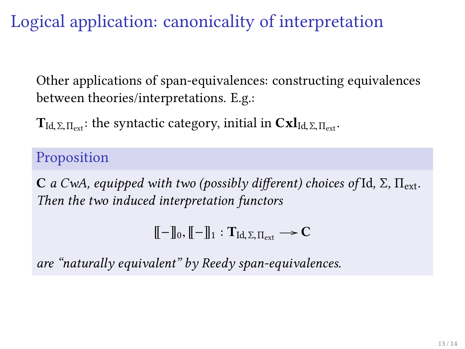Logical application: canonicality of interpretation

Other applications of span-equivalences: constructing equivalences between theories/interpretations. E.g.:

 $T_{\text{Id}, \Sigma, \Pi_{\text{ext}}}$ : the syntactic category, initial in  $\text{Cxi}_{\text{Id}, \Sigma, \Pi_{\text{ext}}}$ .

Proposition

C a CwA, equipped with two (possibly different) choices of Id,  $\Sigma$ ,  $\Pi_{\text{ext}}$ . Then the two induced interpretation functors

 $\llbracket -\rrbracket_0, \llbracket -\rrbracket_1 : \mathbf{T}_{\mathrm{Id},\Sigma,\Pi_{\mathrm{out}}} \longrightarrow \mathbf{C}$ 

are "naturally equivalent" by Reedy span-equivalences.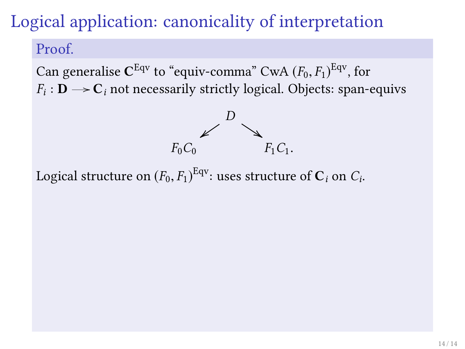## Logical application: canonicality of interpretation

#### Proof.

Can generalise  $C^{Eqv}$  to "equiv-comma" CwA  $(F_0, F_1)^{Eqv}$ , for  $F: \mathbf{D} \longrightarrow C$  in percessarily strictly logical. Objects: span- $F_i: \mathbf{D} \longrightarrow \mathbf{C}_i$  not necessarily strictly logical. Objects: span-equivs



Logical structure on  $(F_0, F_1)^{\text{Eqv}}$ : uses structure of  $\mathbf{C}_i$  on  $C_i$ .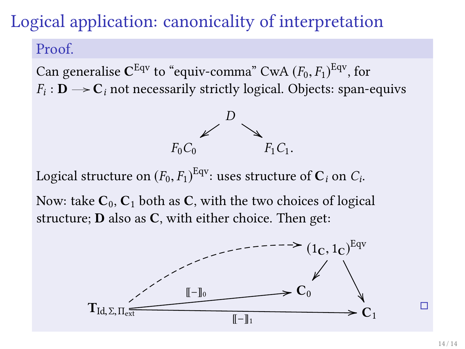## Logical application: canonicality of interpretation

#### Proof.

Can generalise  $C^{Eqv}$  to "equiv-comma" CwA  $(F_0, F_1)^{Eqv}$ , for  $F: \mathbf{D} \longrightarrow C$  in percessarily strictly logical. Objects: span- $F_i: \mathbf{D} \longrightarrow \mathbf{C}_i$  not necessarily strictly logical. Objects: span-equivs



Logical structure on  $(F_0, F_1)^{\text{Eqv}}$ : uses structure of  $\mathbf{C}_i$  on  $C_i$ .

Now: take  $C_0$ ,  $C_1$  both as C, with the two choices of logical structure; **D** also as  $C$ , with either choice. Then get:



г